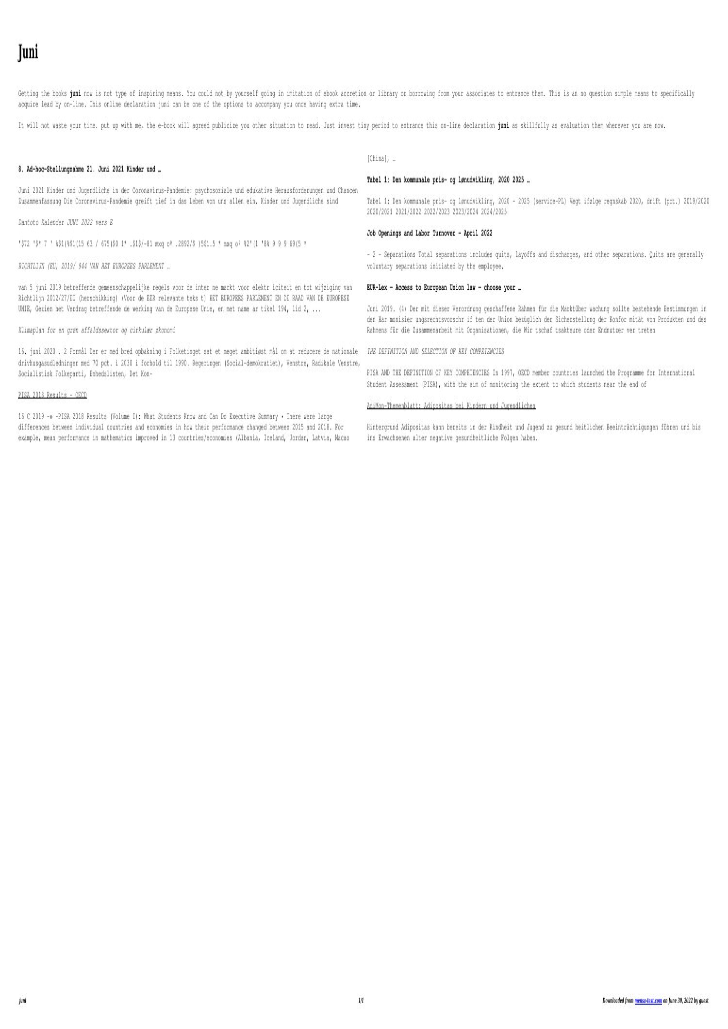# **Juni**

Eventually, you will totally discover a new experience and completion by spending more cash. still when? accomplish you take on that you require to get those all needs in the manner of having significantly cash? Why dont you try to acquire something basic in the beginning? Thats something that will lead you to understand even more in this area the globe, experience, some places, bearing in mind history, amusement, and a lot more?

It is your certainly own time to accomplishment reviewing habit. among guides you could enjoy now is **juni** below.

## **Werkwijzer Poortwachter - UWV**

Bij de geactualiseerde Werkwijzer Poortwachter van 1 juni 2021 Door de inwerkingtreding van de 'Wet arbeidsmarkt in balans' (WAB) vanaf 1 januari 2020, is de Werkwijzer Poortwachter aangepast. Zo zijn de re-integratieverplichtingen van de payrollwerkgever gewijzigd. Daarom zijn (in hoofdstuk 6) ook deze teksten veranderd.

## **Dommerliste for DKK's udstillinger i Vejen den 17.-18.-19. juni …**

17.05.2022 1 Dommerliste for DKK's udstillinger i Vejen den 17.-18.-19. juni 2022 Fredag: International udstilling – Lørdag: Nordisk udstilling – Søndag: International udstilling FREDAG 17. juni – alle grupper INTERNATIONAL LØRDAG 18. juni – alle grupper NORDISK SØNDAG 19. juni – alle grupper INTERNATIONAL – kval. til Crufts Evt. reservedommer

### Oerol Festival 2022 - vrijdag 10 juni 2022

Oerol Festival 2022 - vrijdag 10 juni 2022 Versie: 17 mei om 15:47 MIDDEN 08:00 09:00 10:00 11:00 12:00 13:00 14:00 15:00 16:00 17:00 18:00 19:00 20:00 21:00 22:00 23:00 00:00 01:00 Dôbe Formerum Oost 22:30 Rijgen de Luwte 10:00 Shishani 14:00 Bahghi 17:00 Over de geur van vers brood en de schaal van de dingen 18:15 Over de geur van vers brood ...

### *43126296*

Title: 43126296.indd Author: anagtegaal Created Date: 6/4/2022 10:23:24 AM

## **Verordnung (EU) Nr. 604/2013 des Europäischen Parlaments …**

und des Rates vom 26. Juni 2013 zur Festlegung von Normen für die Aufnahme von Personen, die internatio nalen Schutz beantragen (3) sollte vorbehaltlich der Ein schränkungen der Anwendung jener Richtlinie auf das Verfahren zur Bestimmung des zuständigen Mitgliedstaats nach Maßgabe dieser Verordnung Anwendung finden.

Apr 28,  $2021 \cdot 2.1$  2.2 2.3 There are, however, a handful of privacy coins that enable private blockchain transactions. Block explorer A block explorer – a website that tracks all the

### *Kreisschreiben Nr. 6 - admin.ch*

Bern, 6. Juni 1997 . An die kantonalen Verwaltungen für die direkte Bundessteuer . Kreisschreiben Nr. 6 Verdecktes Eigenkapital (Art. 65 und 75 DBG) bei Kapitalgesellschaften und Genossen-schaften 1. Einleitung Zwischen den Beteiligten einer Gesellschaft und der Gesellschaft selber können sowohl ver-

#### RICHTLIJN (EU) 2019/ 944 VAN HET EUROPEES …

van 5 juni 2019 betreffende gemeenschappelijke regels voor de inter ne markt voor elektr iciteit en tot wijziging van Richtlijn 2012/27/EU (herschikking) (Voor de EER relevante teks t) HET EUROPEES PARLEMENT EN DE RAAD VAN DE EUROPESE UNIE, Gezien het Verdrag betreffende de werking van de Europese Unie, en met name ar tikel 194, lid 2, ...

#### **Dantoto Kalender JUNI 2022 vers E**

'\$72 '\$\* 7 ' %\$1(%\$1(15 63 / 675(\$0 1\* .\$1\$/-81 mxq oº .2892/\$ )5\$1.5 \* mxq oº %2'(1 '8% 9 9 9 69(5 \*

# *Verordnung 832.102 über die Krankenversicherung - admin.ch*

Krankenversicherung. V 3 832.102 a.18 aktive und pensionierte Bundesbedienstete, die nach Artikel 1a Absatz 1 Buchstabe b Ziffern 1–7 und Artikel 2 des Bundesgesetzes vom 19. Juni 199219 über die Militärversicherung (MVG) der Militärversicherung unter- stellt sind; b. Personen, die sich ausschliesslich zur ärztlichen Behandlung oder zur Kur in

8. Ad-hoc-Stellungnahme 21. Juni 2021 Kinder und …

Juni 2021 Kinder und Jugendliche in der Coronavirus-Pandemie: psychosoziale und edukative Herausforderungen und Chancen Zusammenfassung Die Coronavirus-Pandemie greift tief in das Leben von uns allen ein. Kinder und Jugendliche sind

# **Niedersächsische Verordnung zur Absonderung von mit dem …**

Juni 2022 (Nds. GVBl. S. 364) Aufgrund des § 32 Satz 1 in Verbindung mit § 28 Abs. 1 Sätze 1 und 2 und Abs. 3, § 29 und § 30 Abs. 1 Satz 2 des Infektionsschutzgesetzes vom 20. Juli 2000 (BGBl. I S. 1045), zuletzt geändert durch Artikel 2 des Gesetzes vom 10. Dezember 2021 (BGBl.

# **Cryptocurrencies: A Guide to Getting Started Global Future …**

# Holzpreise aktuell & regional - LAND & FORST

Holzpreise aktuell & regional Stichtag: 15. Juni 2021 Diese Holzpreisübersicht basiert auf den Preismeldungen der LWK-Forstämter aus allen Teilen Niedersachsens. Neben den Preisspannen erhalten Sie Informationen über die aktuellen Trends bei den wichtigsten Marktsegmenten.

# *Klimaplan for en grøn affaldssektor og cirkulær økonomi*

16. juni 2020 . 2 Formål Der er med bred opbakning i Folketinget sat et meget ambitiøst mål om at reducere de nationale drivhusgasudledninger med 70 pct. i 2030 i forhold til 1990. Regeringen (Social-demokratiet), Venstre, Radikale Venstre, Socialistisk Folkeparti, Enhedslisten, Det Kon-

AdiMon-Themenblatt: Adipositas bei Kindern und Jugendlichen

Hintergrund Adipositas kann bereits in der Kindheit und Jugend zu gesund heitlichen Beeinträchtigungen führen und bis ins Erwachsenen alter negative gesundheitliche Folgen haben.

#### **Beamforming and TM's in LTE - Rohde & Schwarz**

MIMO and Beamforming Technologies Beamforming basics 1MA186\_2e Rohde & Schwarz LTE Beamforming 4 Simply stated, the receiver receives the signal y that results when the input signal vector x is multiplied by the transmission matrix H.  $y = H^*$ x Transmission matrix H contains the channel impulse responses h nm, which reference

*Consumer trends accelerated by the COVID-19 pandemic are …*

3 | PwC's June 2021 Global Consumer Insights Pulse Survey